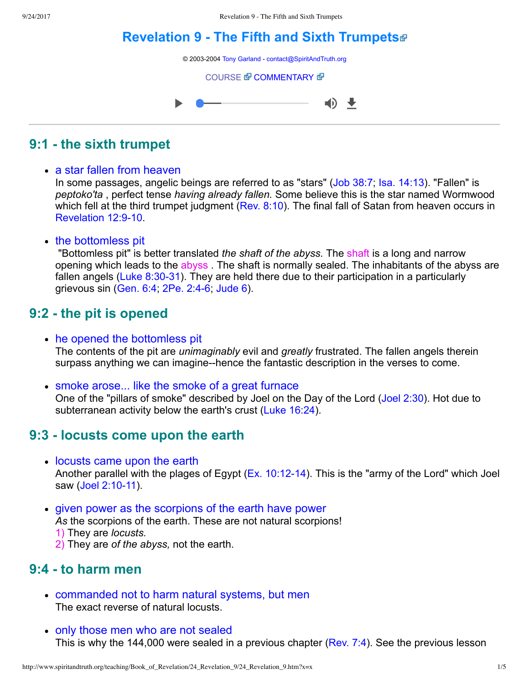# **[Revelation 9 The Fifth and Sixth Trumpets](http://www.spiritandtruth.org/teaching/Book_of_Revelation/24_Revelation_9/index.htm)**

© 2003-2004 [Tony Garland](http://www.spiritandtruth.org/teaching/teachers/tony_garland/bio.htm) - [contact@SpiritAndTruth.org](mailto:contact@SpiritAndTruth.org?subject=ST-MAIL:%20Revelation%209%20-%20The%20Fifth%20and%20Sixth%20Trumpet)

**[COURSE](http://www.spiritandtruth.org/teaching/Book_of_Revelation/24_Revelation_9/index.htm) & [COMMENTARY](http://www.spiritandtruth.org/teaching/Book_of_Revelation/commentary/htm/index.html?Revelation_9) &** 



### **9:1 the sixth trumpet**

#### • a star fallen from heaven

In some passages, angelic beings are referred to as "stars" [\(Job 38:7;](http://www.spiritandtruth.org/bibles/nasb/b18c038.htm#Job_C38V7) [Isa. 14:13](http://www.spiritandtruth.org/bibles/nasb/b23c014.htm#Isa._C14V13)). "Fallen" is *peptoko'ta* , perfect tense *having already fallen.* Some believe this is the star named Wormwood which fell at the third trumpet judgment ([Rev. 8:10](http://www.spiritandtruth.org/bibles/nasb/b66c008.htm#Rev._C8V10)). The final fall of Satan from heaven occurs in Revelation 12:9-10

• the bottomless pit

 "Bottomless pit" is better translated *the shaft of the abyss.* The shaft is a long and narrow opening which leads to the abyss . The shaft is normally sealed. The inhabitants of the abyss are fallen angels (Luke  $8:30-31$ ). They are held there due to their participation in a particularly grievous sin  $(Gen. 6:4, 2Pe. 2:4-6, \text{ Jude } 6)$ .

### **9:2 the pit is opened**

• he opened the bottomless pit

The contents of the pit are *unimaginably* evil and *greatly* frustrated. The fallen angels therein surpass anything we can imagine--hence the fantastic description in the verses to come.

• smoke arose... like the smoke of a great furnace

One of the "pillars of smoke" described by Joel on the Day of the Lord ([Joel 2:30](http://www.spiritandtruth.org/bibles/nasb/b29c002.htm#Joel_C2V30)). Hot due to subterranean activity below the earth's crust [\(Luke 16:24\)](http://www.spiritandtruth.org/bibles/nasb/b42c016.htm#Luke_C16V24).

#### **9:3 locusts come upon the earth**

- locusts came upon the earth Another parallel with the plages of Egypt ( $Ex. 10:12-14$ ). This is the "army of the Lord" which Joel saw (Joel 2:10-11).
- given power as the scorpions of the earth have power *As* the scorpions of the earth. These are not natural scorpions! 1) They are *locusts.* 
	- 2) They are *of the abyss,* not the earth.

# **9:4 to harm men**

- commanded not to harm natural systems, but men The exact reverse of natural locusts.
- only those men who are not sealed This is why the 144,000 were sealed in a previous chapter ([Rev. 7:4](http://www.spiritandtruth.org/bibles/nasb/b66c007.htm#Rev._C7V4)). See the previous lesson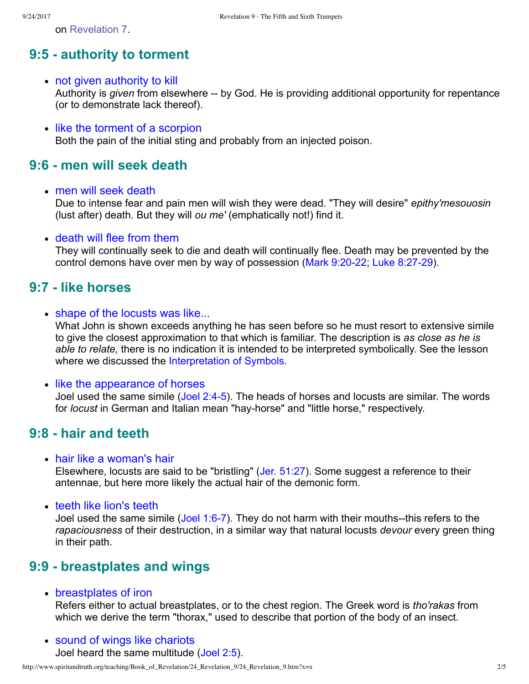on [Revelation 7](http://www.spiritandtruth.org/teaching/Book_of_Revelation/22_Revelation_7/index.htm).

## **9:5 authority to torment**

- not given authority to kill Authority is *given* from elsewhere -- by God. He is providing additional opportunity for repentance (or to demonstrate lack thereof).
- like the torment of a scorpion Both the pain of the initial sting and probably from an injected poison.

#### **9:6 men will seek death**

men will seek death

Due to intense fear and pain men will wish they were dead. "They will desire" *epithy'mesouosin* (lust after) death. But they will *ou me'* (emphatically not!) find it.

• death will flee from them

They will continually seek to die and death will continually flee. Death may be prevented by the control demons have over men by way of possession (Mark 9:20-22; Luke 8:27-29).

#### **9:7 like horses**

• shape of the locusts was like...

What John is shown exceeds anything he has seen before so he must resort to extensive simile to give the closest approximation to that which is familiar. The description is *as close as he is able to relate,* there is no indication it is intended to be interpreted symbolically. See the lesson where we discussed the [Interpretation of Symbols](http://www.spiritandtruth.org/teaching/Book_of_Revelation/07_Introduction/index.htm).

• like the appearance of horses

Joel used the same simile (Joel 2:4-5). The heads of horses and locusts are similar. The words for *locust* in German and Italian mean "hay-horse" and "little horse," respectively.

#### **9:8 hair and teeth**

• hair like a woman's hair

Elsewhere, locusts are said to be "bristling" ([Jer. 51:27\)](http://www.spiritandtruth.org/bibles/nasb/b24c051.htm#Jer._C51V27). Some suggest a reference to their antennae, but here more likely the actual hair of the demonic form.

• teeth like lion's teeth

Joel used the same simile  $(Joel 1:6-7)$ . They do not harm with their mouths--this refers to the *rapaciousness* of their destruction, in a similar way that natural locusts *devour* every green thing in their path.

### **9:9 breastplates and wings**

breastplates of iron

Refers either to actual breastplates, or to the chest region. The Greek word is *tho'rakas* from which we derive the term "thorax," used to describe that portion of the body of an insect.

• sound of wings like chariots Joel heard the same multitude [\(Joel 2:5](http://www.spiritandtruth.org/bibles/nasb/b29c002.htm#Joel_C2V5)).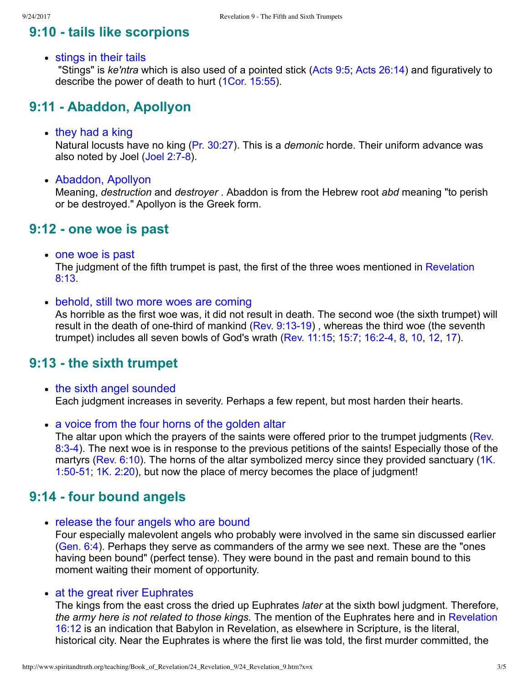## **9:10 tails like scorpions**

• stings in their tails

 "Stings" is *ke'ntra* which is also used of a pointed stick ([Acts 9:5;](http://www.spiritandtruth.org/bibles/nasb/b44c009.htm#Acts_C9V5) [Acts 26:14\)](http://www.spiritandtruth.org/bibles/nasb/b44c026.htm#Acts_C26V14) and figuratively to describe the power of death to hurt ([1Cor. 15:55](http://www.spiritandtruth.org/bibles/nasb/b46c015.htm#1Cor._C15V55)).

# **9:11 Abaddon, Apollyon**

 $\bullet$  they had a king

Natural locusts have no king [\(Pr. 30:27](http://www.spiritandtruth.org/bibles/nasb/b20c030.htm#Pr._C30V27)). This is a *demonic* horde. Their uniform advance was also noted by Joel (Joel 2:7-8).

Abaddon, Apollyon

Meaning, *destruction* and *destroyer* . Abaddon is from the Hebrew root *abd* meaning "to perish or be destroyed." Apollyon is the Greek form.

#### **9:12 one woe is past**

• one woe is past

[The judgment of the fifth trumpet is past, the first of the three woes mentioned in Revelation](http://www.spiritandtruth.org/bibles/nasb/b66c008.htm#Rev._C8V13) 8:13.

• behold, still two more woes are coming

As horrible as the first woe was, it did not result in death. The second woe (the sixth trumpet) will result in the death of one-third of mankind (Rev.  $9:13-19$ ), whereas the third woe (the seventh trumpet) includes all seven bowls of God's wrath ([Rev. 11:15;](http://www.spiritandtruth.org/bibles/nasb/b66c011.htm#Rev._C11V15) [15:7](http://www.spiritandtruth.org/bibles/nasb/b66c015.htm#Rev._C15V7); [16:24,](http://www.spiritandtruth.org/bibles/nasb/b66c016.htm#Rev._C16V2) [8](http://www.spiritandtruth.org/bibles/nasb/b66c016.htm#Rev._C16V8), [10](http://www.spiritandtruth.org/bibles/nasb/b66c016.htm#Rev._C16V10), [12](http://www.spiritandtruth.org/bibles/nasb/b66c016.htm#Rev._C16V12), [17](http://www.spiritandtruth.org/bibles/nasb/b66c016.htm#Rev._C16V17)).

# **9:13 the sixth trumpet**

- the sixth angel sounded Each judgment increases in severity. Perhaps a few repent, but most harden their hearts.
- a voice from the four horns of the golden altar

[The altar upon which the prayers of the saints were offered prior to the trumpet judgments \(Rev.](http://www.spiritandtruth.org/bibles/nasb/b66c008.htm#Rev._C8V3) 8:3-4). The next woe is in response to the previous petitions of the saints! Especially those of the [martyrs \(Rev. 6:10\). The horns of the altar symbolized mercy since they provided sanctuary \(1K.](http://www.spiritandtruth.org/bibles/nasb/b11c001.htm#1K._C1V50) 1:50-51; [1K. 2:20](http://www.spiritandtruth.org/bibles/nasb/b11c002.htm#1K._C2V20)), but now the place of mercy becomes the place of judgment!

### **9:14 four bound angels**

• release the four angels who are bound

Four especially malevolent angels who probably were involved in the same sin discussed earlier [\(Gen. 6:4](http://www.spiritandtruth.org/bibles/nasb/b01c006.htm#Gen._C6V4)). Perhaps they serve as commanders of the army we see next. These are the "ones having been bound" (perfect tense). They were bound in the past and remain bound to this moment waiting their moment of opportunity.

#### • at the great river Euphrates

The kings from the east cross the dried up Euphrates *later* at the sixth bowl judgment. Therefore, *the army here is not related to those kings.* The mention of the Euphrates here and in Revelation [16:12 is an indication that Babylon in Revelation, as elsewhere in Scripture, is the literal,](http://www.spiritandtruth.org/bibles/nasb/b66c016.htm#Rev._C16V12) historical city. Near the Euphrates is where the first lie was told, the first murder committed, the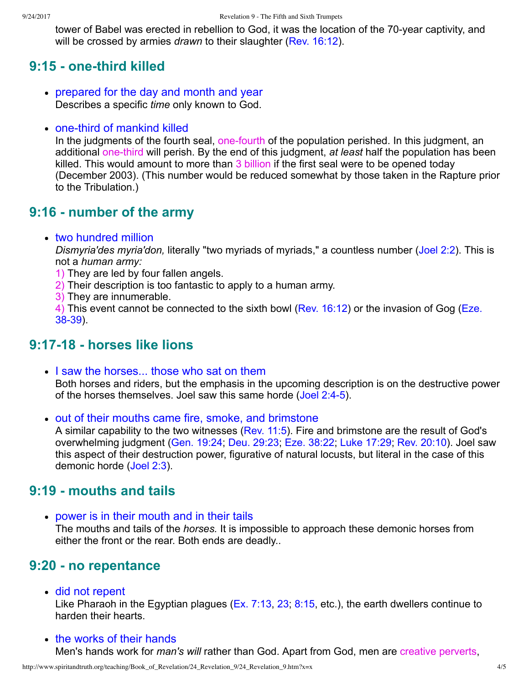tower of Babel was erected in rebellion to God, it was the location of the 70-year captivity, and will be crossed by armies *drawn* to their slaughter [\(Rev. 16:12](http://www.spiritandtruth.org/bibles/nasb/b66c016.htm#Rev._C16V12)).

#### **9:15 - one-third killed**

- prepared for the day and month and year Describes a specific *time* only known to God.
- $\bullet$  one-third of mankind killed

In the judgments of the fourth seal, one-fourth of the population perished. In this judgment, an additional one-third will perish. By the end of this judgment, *at least* half the population has been killed. This would amount to more than 3 billion if the first seal were to be opened today (December 2003). (This number would be reduced somewhat by those taken in the Rapture prior to the Tribulation.)

#### **9:16 number of the army**

two hundred million

*Dismyria'des myria'don,* literally "two myriads of myriads," a countless number ([Joel 2:2](http://www.spiritandtruth.org/bibles/nasb/b29c002.htm#Joel_C2V2)). This is not a *human army:*

- 1) They are led by four fallen angels.
- 2) Their description is too fantastic to apply to a human army.
- 3) They are innumerable.

[4\) This event cannot be connected to the sixth bowl \(Rev. 16:12\) or the invasion of Gog \(Eze.](http://www.spiritandtruth.org/bibles/nasb/b26c038.htm#Eze._C38V1)  $38-39$ ).

#### **9:1718 horses like lions**

• I saw the horses... those who sat on them

Both horses and riders, but the emphasis in the upcoming description is on the destructive power of the horses themselves. Joel saw this same horde (Joel 2:4-5).

• out of their mouths came fire, smoke, and brimstone

A similar capability to the two witnesses [\(Rev. 11:5\)](http://www.spiritandtruth.org/bibles/nasb/b66c011.htm#Rev._C11V5). Fire and brimstone are the result of God's overwhelming judgment [\(Gen. 19:24;](http://www.spiritandtruth.org/bibles/nasb/b01c019.htm#Gen._C19V24) [Deu. 29:23](http://www.spiritandtruth.org/bibles/nasb/b05c029.htm#Deu._C29V23); [Eze. 38:22](http://www.spiritandtruth.org/bibles/nasb/b26c038.htm#Eze._C38V22); [Luke 17:29;](http://www.spiritandtruth.org/bibles/nasb/b42c017.htm#Luke_C17V29) [Rev. 20:10](http://www.spiritandtruth.org/bibles/nasb/b66c020.htm#Rev._C20V10)). Joel saw this aspect of their destruction power, figurative of natural locusts, but literal in the case of this demonic horde ([Joel 2:3\)](http://www.spiritandtruth.org/bibles/nasb/b29c002.htm#Joel_C2V3).

#### **9:19 mouths and tails**

• power is in their mouth and in their tails

The mouths and tails of the *horses.* It is impossible to approach these demonic horses from either the front or the rear. Both ends are deadly..

#### **9:20 no repentance**

did not repent

Like Pharaoh in the Egyptian plagues [\(Ex. 7:13,](http://www.spiritandtruth.org/bibles/nasb/b02c007.htm#Ex._C7V13) [23](http://www.spiritandtruth.org/bibles/nasb/b02c007.htm#Ex._C7V23); [8:15](http://www.spiritandtruth.org/bibles/nasb/b02c008.htm#Ex._C8V15), etc.), the earth dwellers continue to harden their hearts.

• the works of their hands

Men's hands work for *man's will* rather than God. Apart from God, men are creative perverts,